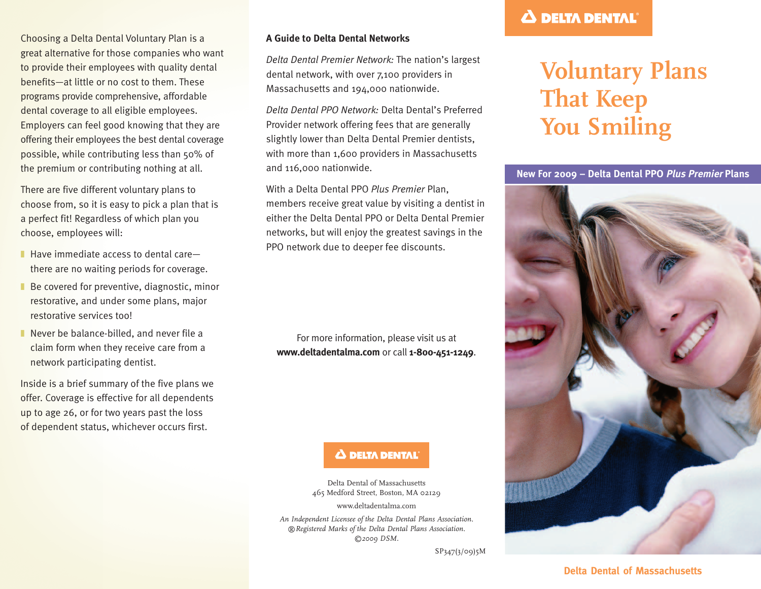Choosing a Delta Dental Voluntary Plan is a great alternative for those companies who want to provide their employees with quality dental benefits—at little or no cost to them. These programs provide comprehensive, affordable dental coverage to all eligible employees. Employers can feel good knowing that they are offering their employees the best dental coverage possible, while contributing less than 50% of the premium or contributing nothing at all.

There are five different voluntary plans to choose from, so it is easy to pick a plan that is a perfect fit! Regardless of which plan you choose, employees will:

- $\blacksquare$  Have immediate access to dental care there are no waiting periods for coverage.
- Be covered for preventive, diagnostic, minor restorative, and under some plans, major restorative services too!
- Never be balance-billed, and never file a claim form when they receive care from a network participating dentist.

Inside is a brief summary of the five plans we offer. Coverage is effective for all dependents up to age 26, or for two years past the loss of dependent status, whichever occurs first.

#### **A Guide to Delta Dental Networks**

*Delta Dental Premier Network:* The nation's largest dental network, with over 7,100 providers in Massachusetts and 194,000 nationwide.

*Delta Dental PPO Network:* Delta Dental's Preferred Provider network offering fees that are generally slightly lower than Delta Dental Premier dentists, with more than 1,600 providers in Massachusetts and 116,000 nationwide.

With a Delta Dental PPO *Plus Premier* Plan, members receive great value by visiting a dentist in either the Delta Dental PPO or Delta Dental Premier networks, but will enjoy the greatest savings in the PPO network due to deeper fee discounts.

For more information, please visit us at **www.deltadentalma.com** or call **1-800-451-1249**.

### Δ DELTA DENTAL

Delta Dental of Massachusetts 465 Medford Street, Boston, MA 02129

www.deltadentalma.com

*An Independent Licensee of the Delta Dental Plans Association. ®Registered Marks of the Delta Dental Plans Association. ©2009 DSM.*

SP347(3/09)5M

### **A DELTA DENTAL**

## **Voluntary Plans That Keep You Smiling**



### **Delta Dental of Massachusetts**